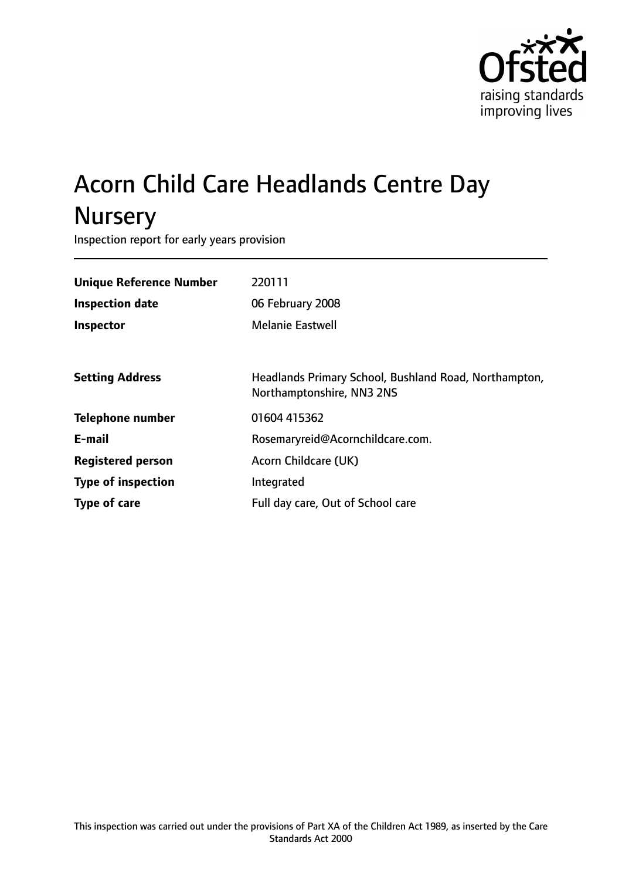

# Acorn Child Care Headlands Centre Day **Nursery**

Inspection report for early years provision

| <b>Unique Reference Number</b> | 220111                                                                             |
|--------------------------------|------------------------------------------------------------------------------------|
| <b>Inspection date</b>         | 06 February 2008                                                                   |
| <b>Inspector</b>               | <b>Melanie Eastwell</b>                                                            |
|                                |                                                                                    |
| <b>Setting Address</b>         | Headlands Primary School, Bushland Road, Northampton,<br>Northamptonshire, NN3 2NS |
| <b>Telephone number</b>        | 01604 415362                                                                       |
| E-mail                         | Rosemaryreid@Acornchildcare.com.                                                   |
| <b>Registered person</b>       | Acorn Childcare (UK)                                                               |
| <b>Type of inspection</b>      | Integrated                                                                         |
| <b>Type of care</b>            | Full day care, Out of School care                                                  |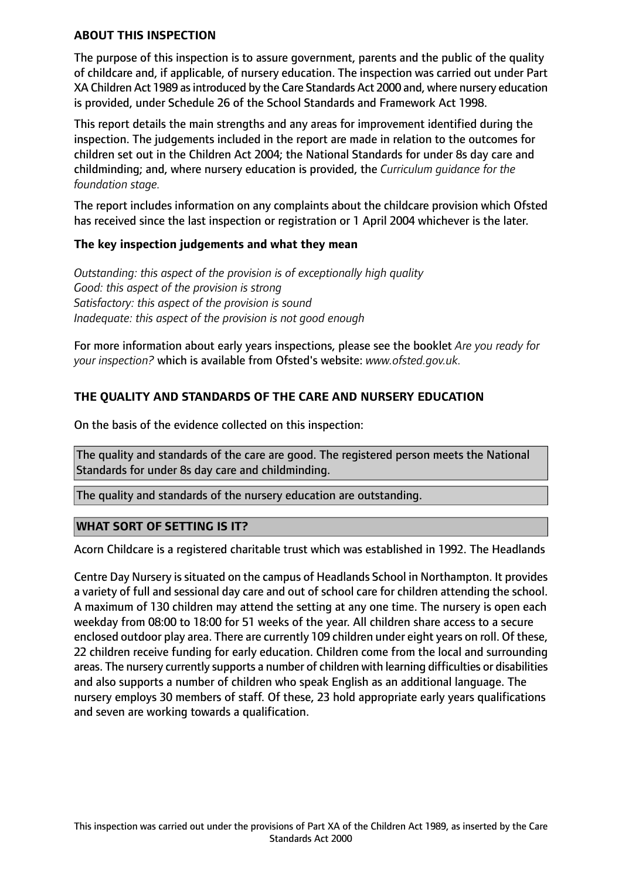#### **ABOUT THIS INSPECTION**

The purpose of this inspection is to assure government, parents and the public of the quality of childcare and, if applicable, of nursery education. The inspection was carried out under Part XA Children Act 1989 asintroduced by the Care Standards Act 2000 and, where nursery education is provided, under Schedule 26 of the School Standards and Framework Act 1998.

This report details the main strengths and any areas for improvement identified during the inspection. The judgements included in the report are made in relation to the outcomes for children set out in the Children Act 2004; the National Standards for under 8s day care and childminding; and, where nursery education is provided, the *Curriculum guidance for the foundation stage.*

The report includes information on any complaints about the childcare provision which Ofsted has received since the last inspection or registration or 1 April 2004 whichever is the later.

#### **The key inspection judgements and what they mean**

*Outstanding: this aspect of the provision is of exceptionally high quality Good: this aspect of the provision is strong Satisfactory: this aspect of the provision is sound Inadequate: this aspect of the provision is not good enough*

For more information about early years inspections, please see the booklet *Are you ready for your inspection?* which is available from Ofsted's website: *www.ofsted.gov.uk.*

# **THE QUALITY AND STANDARDS OF THE CARE AND NURSERY EDUCATION**

On the basis of the evidence collected on this inspection:

The quality and standards of the care are good. The registered person meets the National Standards for under 8s day care and childminding.

The quality and standards of the nursery education are outstanding.

#### **WHAT SORT OF SETTING IS IT?**

Acorn Childcare is a registered charitable trust which was established in 1992. The Headlands

Centre Day Nursery is situated on the campus of Headlands School in Northampton. It provides a variety of full and sessional day care and out of school care for children attending the school. A maximum of 130 children may attend the setting at any one time. The nursery is open each weekday from 08:00 to 18:00 for 51 weeks of the year. All children share access to a secure enclosed outdoor play area. There are currently 109 children under eight years on roll. Of these, 22 children receive funding for early education. Children come from the local and surrounding areas. The nursery currently supports a number of children with learning difficulties or disabilities and also supports a number of children who speak English as an additional language. The nursery employs 30 members of staff. Of these, 23 hold appropriate early years qualifications and seven are working towards a qualification.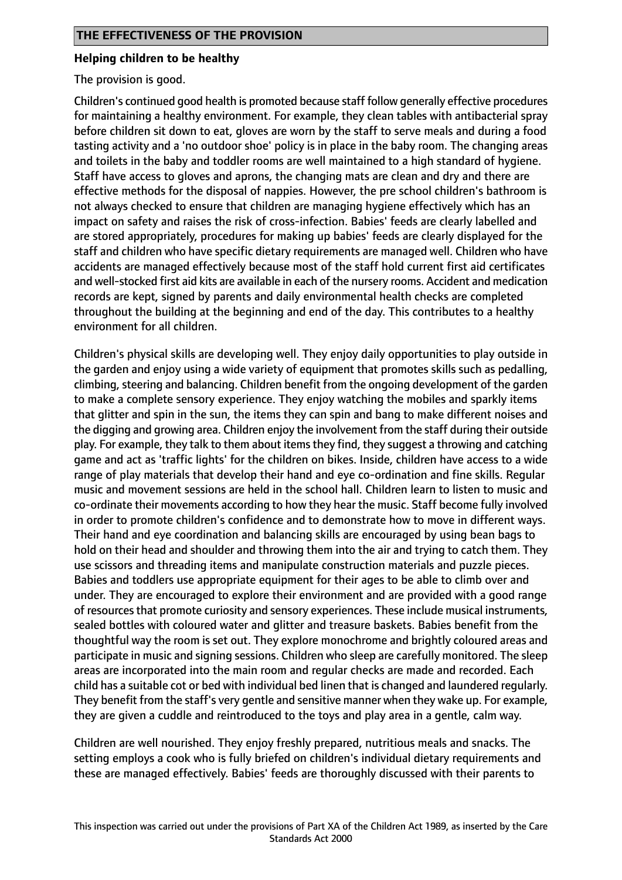#### **Helping children to be healthy**

The provision is good.

Children's continued good health is promoted because staff follow generally effective procedures for maintaining a healthy environment. For example, they clean tables with antibacterial spray before children sit down to eat, gloves are worn by the staff to serve meals and during a food tasting activity and a 'no outdoor shoe' policy is in place in the baby room. The changing areas and toilets in the baby and toddler rooms are well maintained to a high standard of hygiene. Staff have access to gloves and aprons, the changing mats are clean and dry and there are effective methods for the disposal of nappies. However, the pre school children's bathroom is not always checked to ensure that children are managing hygiene effectively which has an impact on safety and raises the risk of cross-infection. Babies' feeds are clearly labelled and are stored appropriately, procedures for making up babies' feeds are clearly displayed for the staff and children who have specific dietary requirements are managed well. Children who have accidents are managed effectively because most of the staff hold current first aid certificates and well-stocked first aid kits are available in each of the nursery rooms. Accident and medication records are kept, signed by parents and daily environmental health checks are completed throughout the building at the beginning and end of the day. This contributes to a healthy environment for all children.

Children's physical skills are developing well. They enjoy daily opportunities to play outside in the garden and enjoy using a wide variety of equipment that promotes skills such as pedalling, climbing, steering and balancing. Children benefit from the ongoing development of the garden to make a complete sensory experience. They enjoy watching the mobiles and sparkly items that glitter and spin in the sun, the items they can spin and bang to make different noises and the digging and growing area. Children enjoy the involvement from the staff during their outside play. For example, they talk to them about itemsthey find, they suggest a throwing and catching game and act as 'traffic lights' for the children on bikes. Inside, children have access to a wide range of play materials that develop their hand and eye co-ordination and fine skills. Regular music and movement sessions are held in the school hall. Children learn to listen to music and co-ordinate their movements according to how they hear the music. Staff become fully involved in order to promote children's confidence and to demonstrate how to move in different ways. Their hand and eye coordination and balancing skills are encouraged by using bean bags to hold on their head and shoulder and throwing them into the air and trying to catch them. They use scissors and threading items and manipulate construction materials and puzzle pieces. Babies and toddlers use appropriate equipment for their ages to be able to climb over and under. They are encouraged to explore their environment and are provided with a good range of resources that promote curiosity and sensory experiences. These include musical instruments, sealed bottles with coloured water and glitter and treasure baskets. Babies benefit from the thoughtful way the room is set out. They explore monochrome and brightly coloured areas and participate in music and signing sessions. Children who sleep are carefully monitored. The sleep areas are incorporated into the main room and regular checks are made and recorded. Each child has a suitable cot or bed with individual bed linen that is changed and laundered regularly. They benefit from the staff's very gentle and sensitive manner when they wake up. For example, they are given a cuddle and reintroduced to the toys and play area in a gentle, calm way.

Children are well nourished. They enjoy freshly prepared, nutritious meals and snacks. The setting employs a cook who is fully briefed on children's individual dietary requirements and these are managed effectively. Babies' feeds are thoroughly discussed with their parents to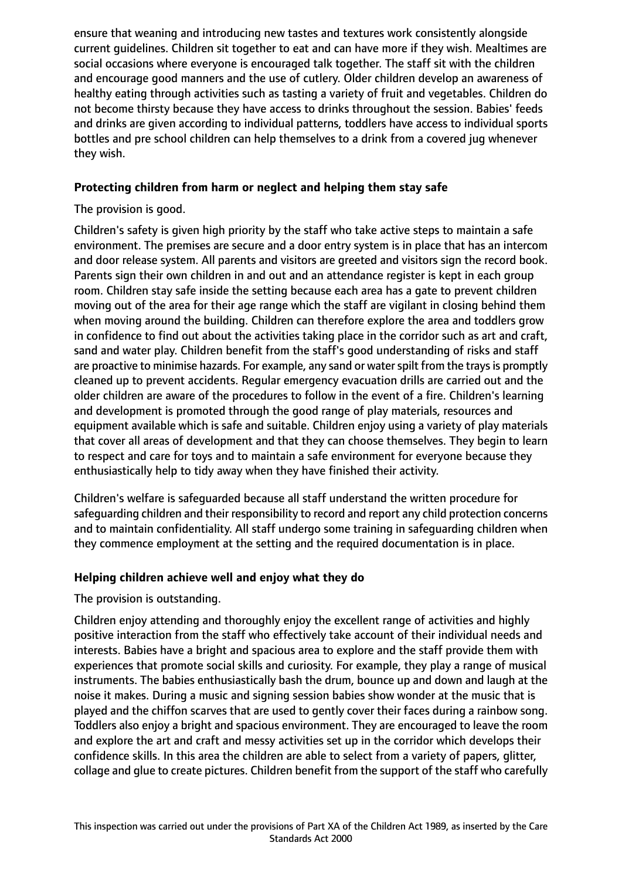ensure that weaning and introducing new tastes and textures work consistently alongside current guidelines. Children sit together to eat and can have more if they wish. Mealtimes are social occasions where everyone is encouraged talk together. The staff sit with the children and encourage good manners and the use of cutlery. Older children develop an awareness of healthy eating through activities such as tasting a variety of fruit and vegetables. Children do not become thirsty because they have access to drinks throughout the session. Babies' feeds and drinks are given according to individual patterns, toddlers have access to individual sports bottles and pre school children can help themselves to a drink from a covered jug whenever they wish.

# **Protecting children from harm or neglect and helping them stay safe**

The provision is good.

Children's safety is given high priority by the staff who take active steps to maintain a safe environment. The premises are secure and a door entry system is in place that has an intercom and door release system. All parents and visitors are greeted and visitors sign the record book. Parents sign their own children in and out and an attendance register is kept in each group room. Children stay safe inside the setting because each area has a gate to prevent children moving out of the area for their age range which the staff are vigilant in closing behind them when moving around the building. Children can therefore explore the area and toddlers grow in confidence to find out about the activities taking place in the corridor such as art and craft, sand and water play. Children benefit from the staff's good understanding of risks and staff are proactive to minimise hazards. For example, any sand or water spilt from the trays is promptly cleaned up to prevent accidents. Regular emergency evacuation drills are carried out and the older children are aware of the procedures to follow in the event of a fire. Children's learning and development is promoted through the good range of play materials, resources and equipment available which is safe and suitable. Children enjoy using a variety of play materials that cover all areas of development and that they can choose themselves. They begin to learn to respect and care for toys and to maintain a safe environment for everyone because they enthusiastically help to tidy away when they have finished their activity.

Children's welfare is safeguarded because all staff understand the written procedure for safeguarding children and their responsibility to record and report any child protection concerns and to maintain confidentiality. All staff undergo some training in safeguarding children when they commence employment at the setting and the required documentation is in place.

# **Helping children achieve well and enjoy what they do**

The provision is outstanding.

Children enjoy attending and thoroughly enjoy the excellent range of activities and highly positive interaction from the staff who effectively take account of their individual needs and interests. Babies have a bright and spacious area to explore and the staff provide them with experiences that promote social skills and curiosity. For example, they play a range of musical instruments. The babies enthusiastically bash the drum, bounce up and down and laugh at the noise it makes. During a music and signing session babies show wonder at the music that is played and the chiffon scarves that are used to gently cover their faces during a rainbow song. Toddlers also enjoy a bright and spacious environment. They are encouraged to leave the room and explore the art and craft and messy activities set up in the corridor which develops their confidence skills. In this area the children are able to select from a variety of papers, glitter, collage and glue to create pictures. Children benefit from the support of the staff who carefully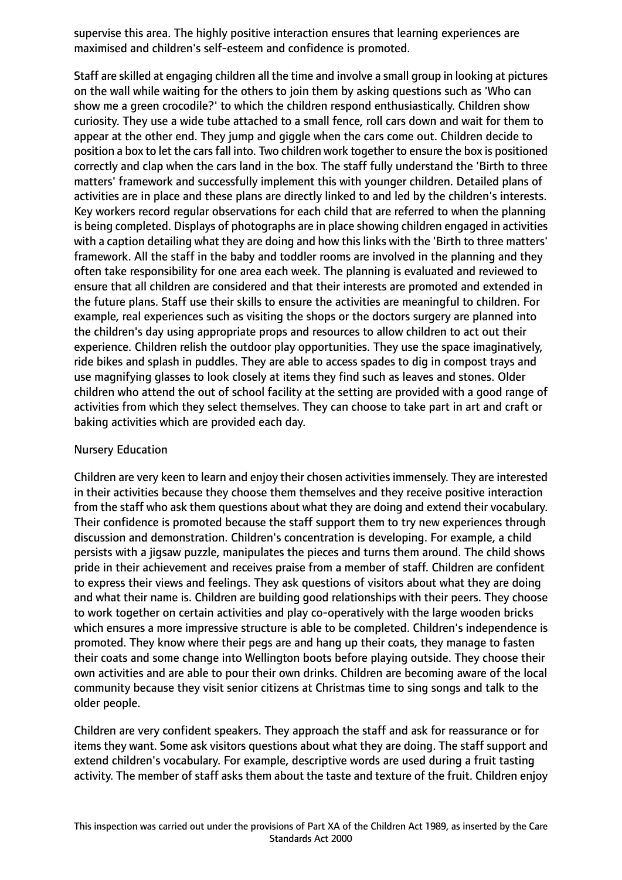supervise this area. The highly positive interaction ensures that learning experiences are maximised and children's self-esteem and confidence is promoted.

Staff are skilled at engaging children all the time and involve a small group in looking at pictures on the wall while waiting for the others to join them by asking questions such as 'Who can show me a green crocodile?' to which the children respond enthusiastically. Children show curiosity. They use a wide tube attached to a small fence, roll cars down and wait for them to appear at the other end. They jump and giggle when the cars come out. Children decide to position a box to let the cars fall into. Two children work together to ensure the box is positioned correctly and clap when the cars land in the box. The staff fully understand the 'Birth to three matters' framework and successfully implement this with younger children. Detailed plans of activities are in place and these plans are directly linked to and led by the children's interests. Key workers record regular observations for each child that are referred to when the planning is being completed. Displays of photographs are in place showing children engaged in activities with a caption detailing what they are doing and how this links with the 'Birth to three matters' framework. All the staff in the baby and toddler rooms are involved in the planning and they often take responsibility for one area each week. The planning is evaluated and reviewed to ensure that all children are considered and that their interests are promoted and extended in the future plans. Staff use their skills to ensure the activities are meaningful to children. For example, real experiences such as visiting the shops or the doctors surgery are planned into the children's day using appropriate props and resources to allow children to act out their experience. Children relish the outdoor play opportunities. They use the space imaginatively, ride bikes and splash in puddles. They are able to access spades to dig in compost trays and use magnifying glasses to look closely at items they find such as leaves and stones. Older children who attend the out of school facility at the setting are provided with a good range of activities from which they select themselves. They can choose to take part in art and craft or baking activities which are provided each day.

# Nursery Education

Children are very keen to learn and enjoy their chosen activities immensely. They are interested in their activities because they choose them themselves and they receive positive interaction from the staff who ask them questions about what they are doing and extend their vocabulary. Their confidence is promoted because the staff support them to try new experiences through discussion and demonstration. Children's concentration is developing. For example, a child persists with a jigsaw puzzle, manipulates the pieces and turns them around. The child shows pride in their achievement and receives praise from a member of staff. Children are confident to express their views and feelings. They ask questions of visitors about what they are doing and what their name is. Children are building good relationships with their peers. They choose to work together on certain activities and play co-operatively with the large wooden bricks which ensures a more impressive structure is able to be completed. Children's independence is promoted. They know where their pegs are and hang up their coats, they manage to fasten their coats and some change into Wellington boots before playing outside. They choose their own activities and are able to pour their own drinks. Children are becoming aware of the local community because they visit senior citizens at Christmas time to sing songs and talk to the older people.

Children are very confident speakers. They approach the staff and ask for reassurance or for items they want. Some ask visitors questions about what they are doing. The staff support and extend children's vocabulary. For example, descriptive words are used during a fruit tasting activity. The member of staff asks them about the taste and texture of the fruit. Children enjoy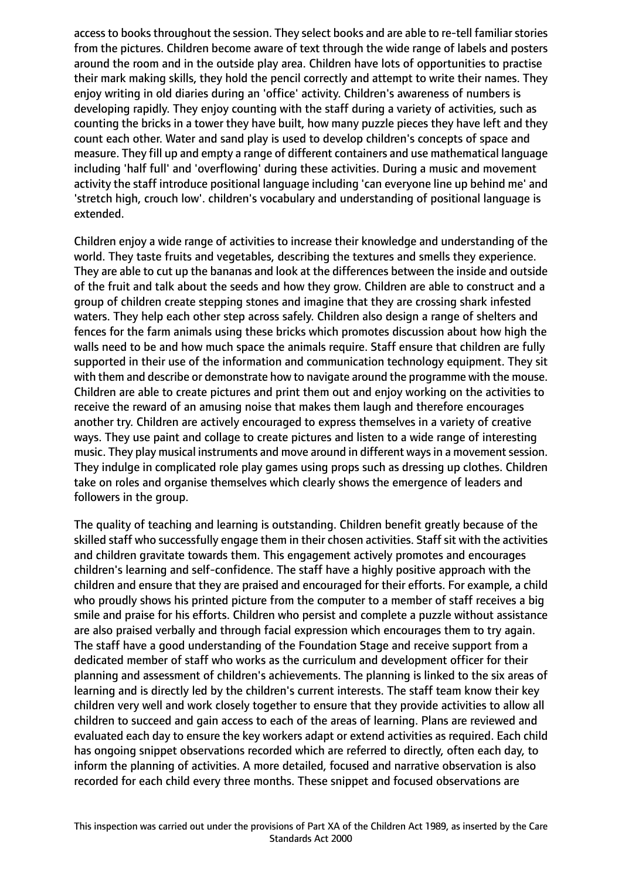access to books throughout the session. They select books and are able to re-tell familiar stories from the pictures. Children become aware of text through the wide range of labels and posters around the room and in the outside play area. Children have lots of opportunities to practise their mark making skills, they hold the pencil correctly and attempt to write their names. They enjoy writing in old diaries during an 'office' activity. Children's awareness of numbers is developing rapidly. They enjoy counting with the staff during a variety of activities, such as counting the bricks in a tower they have built, how many puzzle pieces they have left and they count each other. Water and sand play is used to develop children's concepts of space and measure. They fill up and empty a range of different containers and use mathematical language including 'half full' and 'overflowing' during these activities. During a music and movement activity the staff introduce positional language including 'can everyone line up behind me' and 'stretch high, crouch low'. children's vocabulary and understanding of positional language is extended.

Children enjoy a wide range of activities to increase their knowledge and understanding of the world. They taste fruits and vegetables, describing the textures and smells they experience. They are able to cut up the bananas and look at the differences between the inside and outside of the fruit and talk about the seeds and how they grow. Children are able to construct and a group of children create stepping stones and imagine that they are crossing shark infested waters. They help each other step across safely. Children also design a range of shelters and fences for the farm animals using these bricks which promotes discussion about how high the walls need to be and how much space the animals require. Staff ensure that children are fully supported in their use of the information and communication technology equipment. They sit with them and describe or demonstrate how to navigate around the programme with the mouse. Children are able to create pictures and print them out and enjoy working on the activities to receive the reward of an amusing noise that makes them laugh and therefore encourages another try. Children are actively encouraged to express themselves in a variety of creative ways. They use paint and collage to create pictures and listen to a wide range of interesting music. They play musical instruments and move around in different ways in a movement session. They indulge in complicated role play games using props such as dressing up clothes. Children take on roles and organise themselves which clearly shows the emergence of leaders and followers in the group.

The quality of teaching and learning is outstanding. Children benefit greatly because of the skilled staff who successfully engage them in their chosen activities. Staff sit with the activities and children gravitate towards them. This engagement actively promotes and encourages children's learning and self-confidence. The staff have a highly positive approach with the children and ensure that they are praised and encouraged for their efforts. For example, a child who proudly shows his printed picture from the computer to a member of staff receives a big smile and praise for his efforts. Children who persist and complete a puzzle without assistance are also praised verbally and through facial expression which encourages them to try again. The staff have a good understanding of the Foundation Stage and receive support from a dedicated member of staff who works as the curriculum and development officer for their planning and assessment of children's achievements. The planning is linked to the six areas of learning and is directly led by the children's current interests. The staff team know their key children very well and work closely together to ensure that they provide activities to allow all children to succeed and gain access to each of the areas of learning. Plans are reviewed and evaluated each day to ensure the key workers adapt or extend activities as required. Each child has ongoing snippet observations recorded which are referred to directly, often each day, to inform the planning of activities. A more detailed, focused and narrative observation is also recorded for each child every three months. These snippet and focused observations are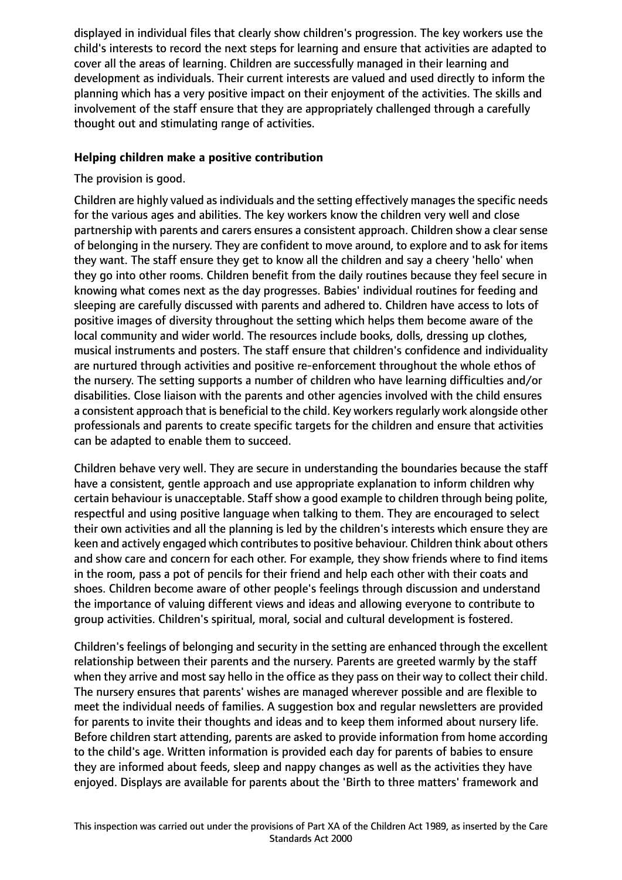displayed in individual files that clearly show children's progression. The key workers use the child's interests to record the next steps for learning and ensure that activities are adapted to cover all the areas of learning. Children are successfully managed in their learning and development as individuals. Their current interests are valued and used directly to inform the planning which has a very positive impact on their enjoyment of the activities. The skills and involvement of the staff ensure that they are appropriately challenged through a carefully thought out and stimulating range of activities.

#### **Helping children make a positive contribution**

The provision is good.

Children are highly valued as individuals and the setting effectively manages the specific needs for the various ages and abilities. The key workers know the children very well and close partnership with parents and carers ensures a consistent approach. Children show a clear sense of belonging in the nursery. They are confident to move around, to explore and to ask for items they want. The staff ensure they get to know all the children and say a cheery 'hello' when they go into other rooms. Children benefit from the daily routines because they feel secure in knowing what comes next as the day progresses. Babies' individual routines for feeding and sleeping are carefully discussed with parents and adhered to. Children have access to lots of positive images of diversity throughout the setting which helps them become aware of the local community and wider world. The resources include books, dolls, dressing up clothes, musical instruments and posters. The staff ensure that children's confidence and individuality are nurtured through activities and positive re-enforcement throughout the whole ethos of the nursery. The setting supports a number of children who have learning difficulties and/or disabilities. Close liaison with the parents and other agencies involved with the child ensures a consistent approach that is beneficial to the child. Key workers regularly work alongside other professionals and parents to create specific targets for the children and ensure that activities can be adapted to enable them to succeed.

Children behave very well. They are secure in understanding the boundaries because the staff have a consistent, gentle approach and use appropriate explanation to inform children why certain behaviour is unacceptable. Staff show a good example to children through being polite, respectful and using positive language when talking to them. They are encouraged to select their own activities and all the planning is led by the children's interests which ensure they are keen and actively engaged which contributes to positive behaviour. Children think about others and show care and concern for each other. For example, they show friends where to find items in the room, pass a pot of pencils for their friend and help each other with their coats and shoes. Children become aware of other people's feelings through discussion and understand the importance of valuing different views and ideas and allowing everyone to contribute to group activities. Children's spiritual, moral, social and cultural development is fostered.

Children's feelings of belonging and security in the setting are enhanced through the excellent relationship between their parents and the nursery. Parents are greeted warmly by the staff when they arrive and most say hello in the office as they pass on their way to collect their child. The nursery ensures that parents' wishes are managed wherever possible and are flexible to meet the individual needs of families. A suggestion box and regular newsletters are provided for parents to invite their thoughts and ideas and to keep them informed about nursery life. Before children start attending, parents are asked to provide information from home according to the child's age. Written information is provided each day for parents of babies to ensure they are informed about feeds, sleep and nappy changes as well as the activities they have enjoyed. Displays are available for parents about the 'Birth to three matters' framework and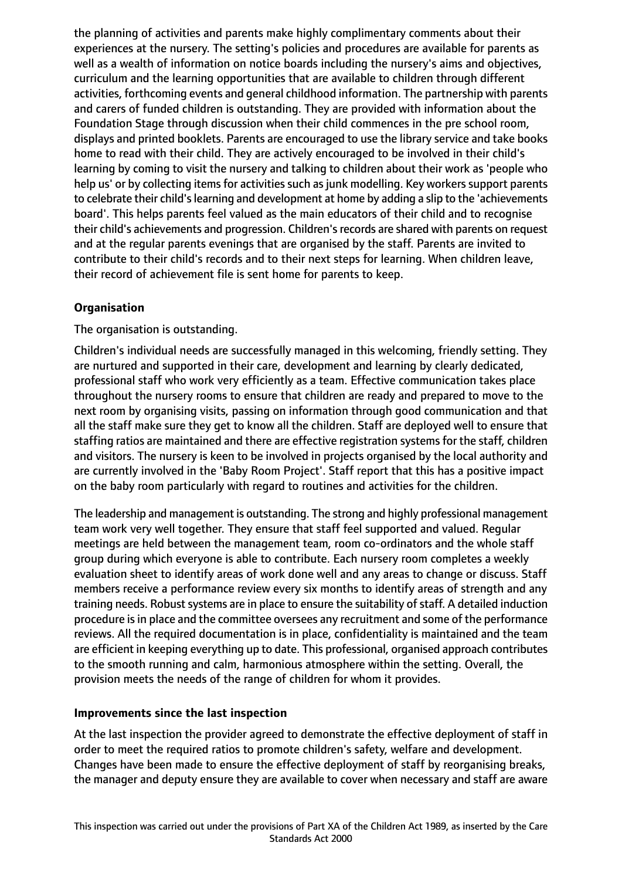the planning of activities and parents make highly complimentary comments about their experiences at the nursery. The setting's policies and procedures are available for parents as well as a wealth of information on notice boards including the nursery's aims and objectives, curriculum and the learning opportunities that are available to children through different activities, forthcoming events and general childhood information. The partnership with parents and carers of funded children is outstanding. They are provided with information about the Foundation Stage through discussion when their child commences in the pre school room, displays and printed booklets. Parents are encouraged to use the library service and take books home to read with their child. They are actively encouraged to be involved in their child's learning by coming to visit the nursery and talking to children about their work as 'people who help us' or by collecting items for activities such as junk modelling. Key workers support parents to celebrate their child's learning and development at home by adding a slip to the 'achievements board'. This helps parents feel valued as the main educators of their child and to recognise their child's achievements and progression. Children'srecords are shared with parents on request and at the regular parents evenings that are organised by the staff. Parents are invited to contribute to their child's records and to their next steps for learning. When children leave, their record of achievement file is sent home for parents to keep.

# **Organisation**

The organisation is outstanding.

Children's individual needs are successfully managed in this welcoming, friendly setting. They are nurtured and supported in their care, development and learning by clearly dedicated, professional staff who work very efficiently as a team. Effective communication takes place throughout the nursery rooms to ensure that children are ready and prepared to move to the next room by organising visits, passing on information through good communication and that all the staff make sure they get to know all the children. Staff are deployed well to ensure that staffing ratios are maintained and there are effective registration systems for the staff, children and visitors. The nursery is keen to be involved in projects organised by the local authority and are currently involved in the 'Baby Room Project'. Staff report that this has a positive impact on the baby room particularly with regard to routines and activities for the children.

The leadership and management is outstanding. The strong and highly professional management team work very well together. They ensure that staff feel supported and valued. Regular meetings are held between the management team, room co-ordinators and the whole staff group during which everyone is able to contribute. Each nursery room completes a weekly evaluation sheet to identify areas of work done well and any areas to change or discuss. Staff members receive a performance review every six months to identify areas of strength and any training needs. Robust systems are in place to ensure the suitability of staff. A detailed induction procedure isin place and the committee oversees any recruitment and some of the performance reviews. All the required documentation is in place, confidentiality is maintained and the team are efficient in keeping everything up to date. This professional, organised approach contributes to the smooth running and calm, harmonious atmosphere within the setting. Overall, the provision meets the needs of the range of children for whom it provides.

# **Improvements since the last inspection**

At the last inspection the provider agreed to demonstrate the effective deployment of staff in order to meet the required ratios to promote children's safety, welfare and development. Changes have been made to ensure the effective deployment of staff by reorganising breaks, the manager and deputy ensure they are available to cover when necessary and staff are aware